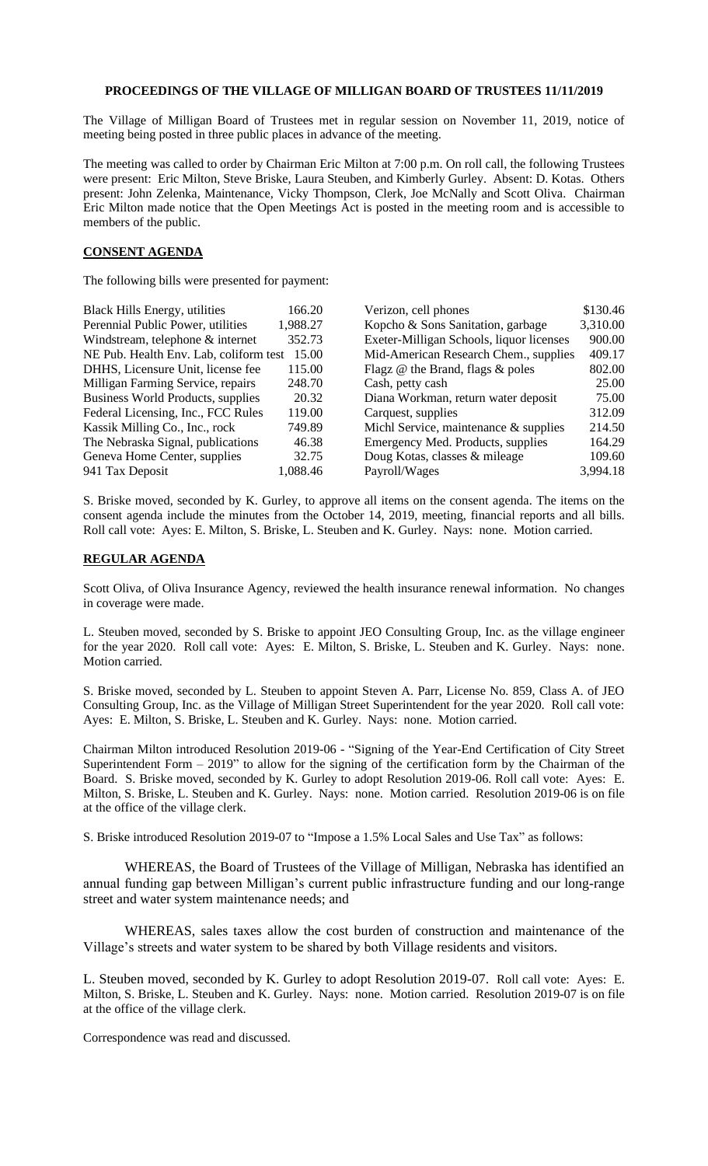## **PROCEEDINGS OF THE VILLAGE OF MILLIGAN BOARD OF TRUSTEES 11/11/2019**

The Village of Milligan Board of Trustees met in regular session on November 11, 2019, notice of meeting being posted in three public places in advance of the meeting.

The meeting was called to order by Chairman Eric Milton at 7:00 p.m. On roll call, the following Trustees were present: Eric Milton, Steve Briske, Laura Steuben, and Kimberly Gurley. Absent: D. Kotas. Others present: John Zelenka, Maintenance, Vicky Thompson, Clerk, Joe McNally and Scott Oliva. Chairman Eric Milton made notice that the Open Meetings Act is posted in the meeting room and is accessible to members of the public.

## **CONSENT AGENDA**

The following bills were presented for payment:

| <b>Black Hills Energy, utilities</b>   | 166.20   | Verizon, cell phones                     | \$130.46 |
|----------------------------------------|----------|------------------------------------------|----------|
| Perennial Public Power, utilities      | 1,988.27 | Kopcho & Sons Sanitation, garbage        | 3,310.00 |
| Windstream, telephone & internet       | 352.73   | Exeter-Milligan Schools, liquor licenses | 900.00   |
| NE Pub. Health Env. Lab, coliform test | 15.00    | Mid-American Research Chem., supplies    | 409.17   |
| DHHS, Licensure Unit, license fee      | 115.00   | Flagz @ the Brand, flags & poles         | 802.00   |
| Milligan Farming Service, repairs      | 248.70   | Cash, petty cash                         | 25.00    |
| Business World Products, supplies      | 20.32    | Diana Workman, return water deposit      | 75.00    |
| Federal Licensing, Inc., FCC Rules     | 119.00   | Carquest, supplies                       | 312.09   |
| Kassik Milling Co., Inc., rock         | 749.89   | Michl Service, maintenance & supplies    | 214.50   |
| The Nebraska Signal, publications      | 46.38    | Emergency Med. Products, supplies        | 164.29   |
| Geneva Home Center, supplies           | 32.75    | Doug Kotas, classes & mileage            | 109.60   |
| 941 Tax Deposit                        | 1,088.46 | Payroll/Wages                            | 3,994.18 |

S. Briske moved, seconded by K. Gurley, to approve all items on the consent agenda. The items on the consent agenda include the minutes from the October 14, 2019, meeting, financial reports and all bills. Roll call vote: Ayes: E. Milton, S. Briske, L. Steuben and K. Gurley. Nays: none. Motion carried.

## **REGULAR AGENDA**

Scott Oliva, of Oliva Insurance Agency, reviewed the health insurance renewal information. No changes in coverage were made.

L. Steuben moved, seconded by S. Briske to appoint JEO Consulting Group, Inc. as the village engineer for the year 2020. Roll call vote: Ayes: E. Milton, S. Briske, L. Steuben and K. Gurley. Nays: none. Motion carried.

S. Briske moved, seconded by L. Steuben to appoint Steven A. Parr, License No. 859, Class A. of JEO Consulting Group, Inc. as the Village of Milligan Street Superintendent for the year 2020. Roll call vote: Ayes: E. Milton, S. Briske, L. Steuben and K. Gurley. Nays: none. Motion carried.

Chairman Milton introduced Resolution 2019-06 - "Signing of the Year-End Certification of City Street Superintendent Form – 2019" to allow for the signing of the certification form by the Chairman of the Board. S. Briske moved, seconded by K. Gurley to adopt Resolution 2019-06. Roll call vote: Ayes: E. Milton, S. Briske, L. Steuben and K. Gurley. Nays: none. Motion carried. Resolution 2019-06 is on file at the office of the village clerk.

S. Briske introduced Resolution 2019-07 to "Impose a 1.5% Local Sales and Use Tax" as follows:

 WHEREAS, the Board of Trustees of the Village of Milligan, Nebraska has identified an annual funding gap between Milligan's current public infrastructure funding and our long-range street and water system maintenance needs; and

WHEREAS, sales taxes allow the cost burden of construction and maintenance of the Village's streets and water system to be shared by both Village residents and visitors.

L. Steuben moved, seconded by K. Gurley to adopt Resolution 2019-07. Roll call vote: Ayes: E. Milton, S. Briske, L. Steuben and K. Gurley. Nays: none. Motion carried. Resolution 2019-07 is on file at the office of the village clerk.

Correspondence was read and discussed.